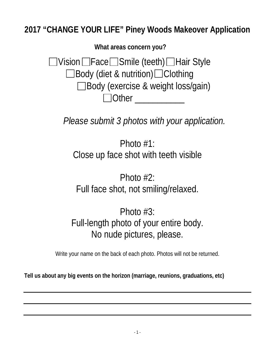# **2017 "CHANGE YOUR LIFE" Piney Woods Makeover Application**

**What areas concern you?** 

 Vision Face Smile (teeth) Hair Style  $\Box$  Body (diet & nutrition)  $\Box$  Clothing □Body (exercise & weight loss/gain)  $\Box$  Other

*Please submit 3 photos with your application.* 

Photo #1: Close up face shot with teeth visible

Photo #2: Full face shot, not smiling/relaxed.

Photo #3: Full-length photo of your entire body. No nude pictures, please.

Write your name on the back of each photo. Photos will not be returned.

**Tell us about any big events on the horizon (marriage, reunions, graduations, etc)**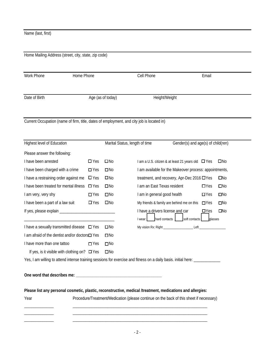Name (last, first)

| Work Phone<br>Home Phone                                                                                                    |                   |              | Cell Phone                                                                              |                                                                                  | Email                              |  |
|-----------------------------------------------------------------------------------------------------------------------------|-------------------|--------------|-----------------------------------------------------------------------------------------|----------------------------------------------------------------------------------|------------------------------------|--|
|                                                                                                                             |                   |              |                                                                                         |                                                                                  |                                    |  |
|                                                                                                                             |                   |              |                                                                                         |                                                                                  |                                    |  |
| Date of Birth                                                                                                               | Age (as of today) |              | Height/Weight                                                                           |                                                                                  |                                    |  |
|                                                                                                                             |                   |              |                                                                                         |                                                                                  |                                    |  |
| Current Occupation (name of firm, title, dates of employment, and city job is located in)                                   |                   |              |                                                                                         |                                                                                  |                                    |  |
|                                                                                                                             |                   |              |                                                                                         |                                                                                  |                                    |  |
| <b>Highest level of Education</b>                                                                                           |                   |              | Marital Status, length of time                                                          |                                                                                  | Gender(s) and age(s) of child(ren) |  |
| Please answer the following:                                                                                                |                   |              |                                                                                         |                                                                                  |                                    |  |
| I have been arrested                                                                                                        | $\square$ Yes     | $\square$ No |                                                                                         | I am a U.S. citizen & at least 21 years old □ Yes                                | $\square$ No                       |  |
| I have been charged with a crime<br>$\square$ Yes                                                                           |                   | $\square$ No | I am available for the Makeover process: appointments,                                  |                                                                                  |                                    |  |
| I have a restraining order against me<br>$\square$ Yes                                                                      |                   | $\square$ No |                                                                                         | treatment, and recovery, Apr-Dec 2016 $\Box$ Yes                                 | $\square$ No                       |  |
| I have been treated for mental illness                                                                                      | $\square$ Yes     | $\square$ No | I am an East Texas resident                                                             |                                                                                  | $\square$ No<br>$\Box$ Yes         |  |
| I am very, very shy                                                                                                         | $\square$ Yes     | $\square$ No | I am in general good health                                                             |                                                                                  | $\Box$ Yes<br>$\square$ No         |  |
| I have been a part of a law suit                                                                                            | $\Box$ Yes        | $\square$ No |                                                                                         | My friends & family are behind me on this                                        | $\square$ No<br>$\square$ Yes      |  |
| If yes, please explain ___________                                                                                          |                   |              | I have a drivers license and car                                                        | I wear: hard contacts   soft contacts   glasses                                  | $\square$ No<br>$\Box$ Yes         |  |
| I have a sexually transmitted disease □ Yes                                                                                 |                   | $\square$ No |                                                                                         | My vision Rx: Right _________________________ Left _____________________________ |                                    |  |
| I am afraid of the dentist and/or doctors <sup>1</sup> Yes                                                                  |                   | $\square$ No |                                                                                         |                                                                                  |                                    |  |
| I have more than one tattoo                                                                                                 | $\Box$ Yes        | $\square$ No |                                                                                         |                                                                                  |                                    |  |
| If yes, is it visible with clothing on? $\Box$ Yes                                                                          |                   | $\square$ No |                                                                                         |                                                                                  |                                    |  |
| Yes, I am willing to attend intense training sessions for exercise and fitness on a daily basis. initial here: ____________ |                   |              |                                                                                         |                                                                                  |                                    |  |
|                                                                                                                             |                   |              |                                                                                         |                                                                                  |                                    |  |
|                                                                                                                             |                   |              |                                                                                         |                                                                                  |                                    |  |
|                                                                                                                             |                   |              |                                                                                         |                                                                                  |                                    |  |
| Please list any personal cosmetic, plastic, reconstructive, medical /treatment, medications and allergies:                  |                   |              |                                                                                         |                                                                                  |                                    |  |
| Year                                                                                                                        |                   |              | Procedure/Treatment/Medication (please continue on the back of this sheet if necessary) |                                                                                  |                                    |  |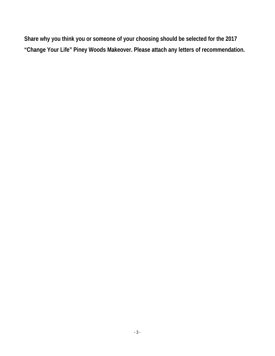**Share why you think you or someone of your choosing should be selected for the 2017 "Change Your Life" Piney Woods Makeover. Please attach any letters of recommendation.**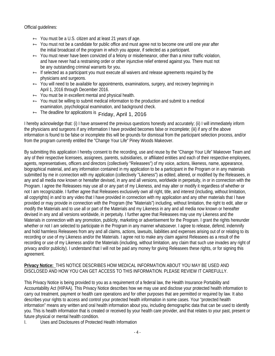Official guidelines:

- <sup>9→</sup> You must be a U.S. citizen and at least 21 years of age.
- → You must not be a candidate for public office and must agree not to become one until one year after the initial broadcast of the program in which you appear, if selected as a participant.
- $\rightarrow$  You must never have been convicted of a felony or misdemeanor, other than a minor traffic violation, and have never had a restraining order or other injunctive relief entered against you. There must not be any outstanding criminal warrants for you.
- $\rightarrow$  If selected as a participant you must execute all waivers and release agreements required by the physicians and surgeons.
- → You will need to be available for appointments, examinations, surgery, and recovery beginning in April 1, 2016 through December 2016.
- ⊕ You must be in excellent mental and physical health.
- $\rightarrow$  You must be willing to submit medical information to the production and submit to a medical examination, psychological examination, and background check.
- <sup>3</sup> The deadline for applications is **Friday**, April 1, 2016

I hereby acknowledge that: (i) I have answered the previous questions honestly and accurately; (ii) I will immediately inform the physicians and surgeons if any information I have provided becomes false or incomplete; (iii) if any of the above information is found to be false or incomplete this will be grounds for dismissal from the participant selection process, and/or from the program currently entitled the "Change Your Life" Piney Woods Makeover.

By submitting this application I hereby consent to the recording, use and reuse by the "Change Your Life" Makeover Team and any of their respective licensees, assignees, parents, subsidiaries, or affiliated entities and each of their respective employees, agents, representatives, officers and directors (collectively "Releasees") of my voice, actions, likeness, name, appearance, biographical material, and any information contained in my application to be a participant in the Program or in any materials submitted by me in connection with my application (collectively "Likeness") as edited, altered, or modified by the Releasees, in any and all media now known or hereafter devised, in any and all versions, worldwide in perpetuity, in or in connection with the Program. I agree the Releasees may use all or any part of my Likeness, and may alter or modify it regardless of whether or not I am recognizable. I further agree that Releasees exclusively own all right, title, and interest (including, without limitation, all copyrights) in and to any video that I have provided in connection with my application and any other materials that I have provided or may provide in connection with the Program (the "Materials") including, without limitation, the right to edit, alter or modify the Materials and to use all or part of the Materials and my Likeness in any and all media now known or hereafter devised in any and all versions worldwide, in perpetuity. I further agree that Releasees may use my Likeness and the Materials in connection with any promotion, publicity, marketing or advertisement for the Program. I grant the rights hereunder whether or not I am selected to participate in the Program in any manner whatsoever. I agree to release, defend, indemnify and hold harmless Releasees from any and all claims, actions, lawsuits, liabilities and expenses arising out of or relating to its recording or use of my Likeness and/or the Materials. I agree not to make any claim against Releasees as a result of the recording or use of my Likeness and/or the Materials (including, without limitation, any claim that such use invades any right of privacy and/or publicity). I understand that I will not be paid any money for giving Releasees these rights, or for signing this agreement.

## **Privacy Notice:** THIS NOTICE DESCRIBES HOW MEDICAL INFORMATION ABOUT YOU MAY BE USED AND DISCLOSED AND HOW YOU CAN GET ACCESS TO THIS INFORMATION. PLEASE REVIEW IT CAREFULLY.

This Privacy Notice is being provided to you as a requirement of a federal law, the Health Insurance Portability and Accountability Act (HIPAA). This Privacy Notice describes how we may use and disclose your protected health information to carry out treatment, payment or health care operations and for other purposes that are permitted or required by law. It also describes your rights to access and control your protected health information in some cases. Your "protected health information" means any written and oral health information about you, including demographic data that can be used to identify you. This is health information that is created or received by your health care provider, and that relates to your past, present or future physical or mental health condition.

I. Uses and Disclosures of Protected Health Information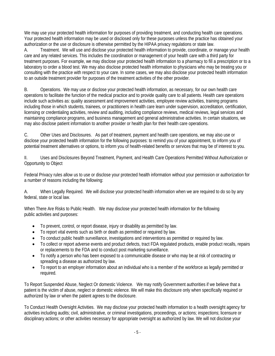We may use your protected health information for purposes of providing treatment, and conducting health care operations. Your protected health information may be used or disclosed only for these purposes unless the practice has obtained your authorization or the use or disclosure is otherwise permitted by the HIPAA privacy regulations or state law.

A. Treatment. We will use and disclose your protected health information to provide, coordinate, or manage your health care and any related services. This includes the coordination or management of your health care with a third party for treatment purposes. For example, we may disclose your protected health information to a pharmacy to fill a prescription or to a laboratory to order a blood test. We may also disclose protected health information to physicians who may be treating you or consulting with the practice with respect to your care. In some cases, we may also disclose your protected health information to an outside treatment provider for purposes of the treatment activities of the other provider.

B. Operations. We may use or disclose your protected health information, as necessary, for our own health care operations to facilitate the function of the medical practice and to provide quality care to all patients. Health care operations include such activities as: quality assessment and improvement activities, employee review activities, training programs including those in which students, trainees, or practitioners in health care learn under supervision, accreditation, certification, licensing or credentialing activities, review and auditing, including compliance reviews, medical reviews, legal services and maintaining compliance programs, and business management and general administrative activities. In certain situations, we may also disclose patient information to another provider or health plan for their health care operations.

C. Other Uses and Disclosures. As part of treatment, payment and health care operations, we may also use or disclose your protected health information for the following purposes: to remind you of your appointment, to inform you of potential treatment alternatives or options, to inform you of health-related benefits or services that may be of interest to you.

II. Uses and Disclosures Beyond Treatment, Payment, and Health Care Operations Permitted Without Authorization or Opportunity to Object

Federal Privacy rules allow us to use or disclose your protected health information without your permission or authorization for a number of reasons including the following:

A. When Legally Required. We will disclose your protected health information when we are required to do so by any federal, state or local law.

When There Are Risks to Public Health. We may disclose your protected health information for the following public activities and purposes:

- To prevent, control, or report disease, injury or disability as permitted by law.
- To report vital events such as birth or death as permitted or required by law.
- To conduct public health surveillance, investigations and interventions as permitted or required by law.
- To collect or report adverse events and product defects, tract FDA regulated products, enable product recalls, repairs or replacements to the FDA and to conduct post marketing surveillance.
- To notify a person who has been exposed to a communicable disease or who may be at risk of contracting or spreading a disease as authorized by law.
- To report to an employer information about an individual who is a member of the workforce as legally permitted or required.

To Report Suspended Abuse, Neglect Or domestic Violence. We may notify Government authorities if we believe that a patient is the victim of abuse, neglect or domestic violence. We will make this disclosure only when specifically required or authorized by law or when the patient agrees to the disclosure.

To Conduct Health Oversight Activities. We may disclose your protected health information to a health oversight agency for activities including audits; civil, administrative, or criminal investigations, proceedings, or actions; inspections; licensure or disciplinary actions; or other activities necessary for appropriate oversight as authorized by law. We will not disclose your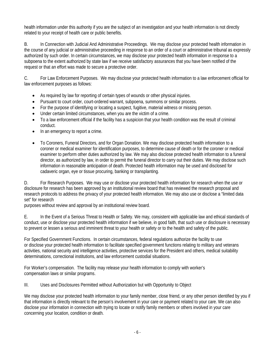health information under this authority if you are the subject of an investigation and your health information is not directly related to your receipt of health care or public benefits.

B. In Connection with Judicial And Administrative Proceedings. We may disclose your protected health information in the course of any judicial or administrative proceeding in response to an order of a court or administrative tribunal as expressly authorized by such order. In certain circumstances, we may disclose your protected health information in response to a subpoena to the extent authorized by state law if we receive satisfactory assurances that you have been notified of the request or that an effort was made to secure a protective order.

C. For Law Enforcement Purposes. We may disclose your protected health information to a law enforcement official for law enforcement purposes as follows:

- As required by law for reporting of certain types of wounds or other physical injuries.
- Pursuant to court order, court-ordered warrant, subpoena, summons or similar process.
- For the purpose of identifying or locating a suspect, fugitive, material witness or missing person.
- Under certain limited circumstances, when you are the victim of a crime.
- To a law enforcement official if the facility has a suspicion that your health condition was the result of criminal conduct.
- In an emergency to report a crime.
- To Coroners, Funeral Directors, and for Organ Donation. We may disclose protected health information to a coroner or medical examiner for identification purposes, to determine cause of death or for the coroner or medical examiner to perform other duties authorized by law. We may also disclose protected health information to a funeral director, as authorized by law, in order to permit the funeral director to carry out their duties. We may disclose such information in reasonable anticipation of death. Protected health information may be used and disclosed for cadaveric organ, eye or tissue procuring, banking or transplanting.

D. For Research Purposes. We may use or disclose your protected health information for research when the use or disclosure for research has been approved by an institutional review board that has reviewed the research proposal and research protocols to address the privacy of your protected health information. We may also use or disclose a "limited data set" for research

purposes without review and approval by an institutional review board.

E. In the Event of a Serious Threat to Health or Safety. We may, consistent with applicable law and ethical standards of conduct, use or disclose your protected health information if we believe, in good faith, that such use or disclosure is necessary to prevent or lessen a serious and imminent threat to your health or safety or to the health and safety of the public.

For Specified Government Functions. In certain circumstances, federal regulations authorize the facility to use or disclose your protected health information to facilitate specified government functions relating to military and veterans activities, national security and intelligence activities, protective services for the President and others, medical suitability determinations, correctional institutions, and law enforcement custodial situations.

For Worker's compensation. The facility may release your health information to comply with worker's compensation laws or similar programs.

III. Uses and Disclosures Permitted without Authorization but with Opportunity to Object

We may disclose your protected health information to your family member, close friend, or any other person identified by you if that information is directly relevant to the person's involvement in your care or payment related to your care. We can also disclose your information in connection with trying to locate or notify family members or others involved in your care concerning your location, condition or death.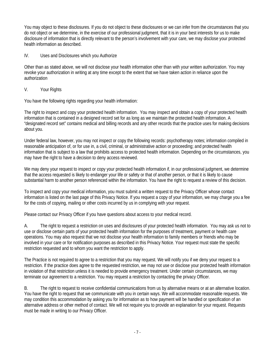You may object to these disclosures. If you do not object to these disclosures or we can infer from the circumstances that you do not object or we determine, in the exercise of our professional judgment, that it is in your best interests for us to make disclosure of information that is directly relevant to the person's involvement with your care, we may disclose your protected health information as described.

IV. Uses and Disclosures which you Authorize

Other than as stated above, we will not disclose your health information other than with your written authorization. You may revoke your authorization in writing at any time except to the extent that we have taken action in reliance upon the authorization

V. Your Rights

You have the following rights regarding your health information:

The right to inspect and copy your protected health information. You may inspect and obtain a copy of your protected health information that is contained in a designed record set for as long as we maintain the protected health information. A "designated record set" contains medical and billing records and any other records that the practice uses for making decisions about you.

Under federal law, however, you may not inspect or copy the following records: psychotherapy notes; information compiled in reasonable anticipation of, or for use in, a civil, criminal, or administrative action or proceeding; and protected health information that is subject to a law that prohibits access to protected health information. Depending on the circumstances, you may have the right to have a decision to deny access reviewed.

We may deny your request to inspect or copy your protected health information if, in our professional judgment, we determine that the access requested is likely to endanger your life or safety or that of another person, or that it is likely to cause substantial harm to another person referenced within the information. You have the right to request a review of this decision.

To inspect and copy your medical information, you must submit a written request to the Privacy Officer whose contact information is listed on the last page of this Privacy Notice. If you request a copy of your information, we may charge you a fee for the costs of copying, mailing or other costs incurred by us in complying with your request.

Please contact our Privacy Officer if you have questions about access to your medical record.

A. The right to request a restriction on uses and disclosures of your protected health information. You may ask us not to use or disclose certain parts of your protected health information for the purposes of treatment, payment or health care operations. You may also request that we not disclose your health information to family members or friends who may be involved in your care or for notification purposes as described in this Privacy Notice. Your request must state the specific restriction requested and to whom you want the restriction to apply.

The Practice is not required to agree to a restriction that you may request. We will notify you if we deny your request to a restriction. If the practice does agree to the requested restriction, we may not use or disclose your protected health information in violation of that restriction unless it is needed to provide emergency treatment. Under certain circumstances, we may terminate our agreement to a restriction. You may request a restriction by contacting the privacy Officer.

B. The right to request to receive confidential communications from us by alternative means or at an alternative location. You have the right to request that we communicate with you in certain ways. We will accommodate reasonable requests. We may condition this accommodation by asking you for information as to how payment will be handled or specification of an alternative address or other method of contact. We will not require you to provide an explanation for your request. Requests must be made in writing to our Privacy Officer.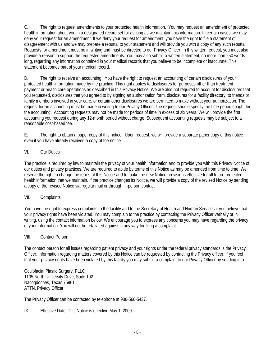C. The right to request amendments to your protected health information. You may request an amendment of protected health information about you in a designated record set for as long as we maintain this information. In certain cases, we may deny your request for an amendment. If we deny your request for amendment, you have the right to file a statement of disagreement with us and we may prepare a rebuttal to your statement and will provide you with a copy of any such rebuttal. Requests for amendment must be in writing and must be directed to our Privacy Officer. In this written request, you must also provide a reason to support the requested amendments. You may also submit a written statement, no more than 250 words long, regarding any information contained in your medical records that you believe to be incomplete or inaccurate. This statement becomes part of your medical record.

D. The right to receive an accounting. You have the right to request an accounting of certain disclosures of your protected health information made by the practice. This right applies to disclosures for purposes other than treatment, payment or health care operations as described in this Privacy Notice. We are also not required to account for disclosures that you requested, disclosures that you agreed to by signing an authorization form, disclosures for a facility directory, to friends or family members involved in your care, or certain other disclosures we are permitted to make without your authorization. The request for an accounting must be made in writing to our Privacy Officer. The request should specify the time period sought for the accounting. Accounting requests may not be made for periods of time in excess of six years. We will provide the first accounting you request during any 12-month period without charge. Subsequent accounting requests may be subject to a reasonable cost-based fee.

E. The right to obtain a paper copy of this notice. Upon request, we will provide a separate paper copy of this notice even if you have already received a copy of the notice.

## VI. Our Duties

The practice is required by law to maintain the privacy of your health information and to provide you with this Privacy Notice of our duties and privacy practices. We are required to abide by terms of this Notice as may be amended from time to time. We reserve the right to change the terms of this Notice and to make the new Notice provisions effective for all future protected health information that we maintain. If the practice changes its Notice, we will provide a copy of the revised Notice by sending a copy of the revised Notice via regular mail or through in-person contact.

#### VII. Complaints

You have the right to express complaints to the facility and to the Secretary of Health and Human Services if you believe that your privacy rights have been violated. You may complain to the practice by contacting the Privacy Officer verbally or in writing, using the contact information below. We encourage you to express any concerns you may have regarding the privacy of your information. You will not be retaliated against in any way for filing a complaint.

#### VIII. Contact Person

The contact person for all issues regarding patient privacy and your rights under the federal privacy standards is the Privacy Officer. Information regarding matters covered by this Notice can be requested by contacting the Privacy officer. If you feel that your privacy rights have been violated by this facility you may submit a complaint to our Privacy Officer by sending it to:

Oculofacial Plastic Surgery, PLLC 1105 North University Drive, Suite 102 Nacogdoches, Texas 75961 ATTN. Privacy Officer

The Privacy Officer can be contacted by telephone at 936-560-5437.

IX. Effective Date: This Notice is effective May 1, 2009.